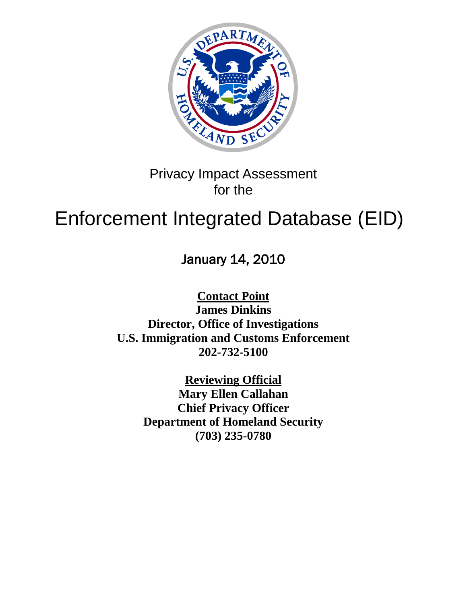

Privacy Impact Assessment for the

# Enforcement Integrated Database (EID)

January 14, 2010

**Contact Point James Dinkins Director, Office of Investigations U.S. Immigration and Customs Enforcement 202-732-5100**

> **Reviewing Official Mary Ellen Callahan Chief Privacy Officer Department of Homeland Security (703) 235-0780**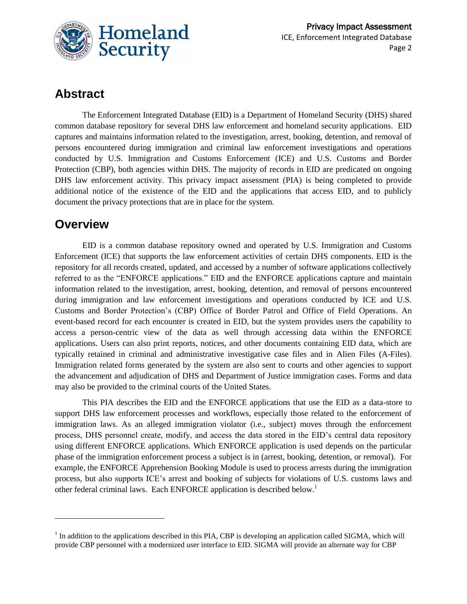

# **Abstract**

The Enforcement Integrated Database (EID) is a Department of Homeland Security (DHS) shared common database repository for several DHS law enforcement and homeland security applications. EID captures and maintains information related to the investigation, arrest, booking, detention, and removal of persons encountered during immigration and criminal law enforcement investigations and operations conducted by U.S. Immigration and Customs Enforcement (ICE) and U.S. Customs and Border Protection (CBP), both agencies within DHS. The majority of records in EID are predicated on ongoing DHS law enforcement activity. This privacy impact assessment (PIA) is being completed to provide additional notice of the existence of the EID and the applications that access EID, and to publicly document the privacy protections that are in place for the system.

# **Overview**

 $\overline{a}$ 

EID is a common database repository owned and operated by U.S. Immigration and Customs Enforcement (ICE) that supports the law enforcement activities of certain DHS components. EID is the repository for all records created, updated, and accessed by a number of software applications collectively referred to as the "ENFORCE applications." EID and the ENFORCE applications capture and maintain information related to the investigation, arrest, booking, detention, and removal of persons encountered during immigration and law enforcement investigations and operations conducted by ICE and U.S. Customs and Border Protection's (CBP) Office of Border Patrol and Office of Field Operations. An event-based record for each encounter is created in EID, but the system provides users the capability to access a person-centric view of the data as well through accessing data within the ENFORCE applications. Users can also print reports, notices, and other documents containing EID data, which are typically retained in criminal and administrative investigative case files and in Alien Files (A-Files). Immigration related forms generated by the system are also sent to courts and other agencies to support the advancement and adjudication of DHS and Department of Justice immigration cases. Forms and data may also be provided to the criminal courts of the United States.

This PIA describes the EID and the ENFORCE applications that use the EID as a data-store to support DHS law enforcement processes and workflows, especially those related to the enforcement of immigration laws. As an alleged immigration violator (i.e., subject) moves through the enforcement process, DHS personnel create, modify, and access the data stored in the EID's central data repository using different ENFORCE applications. Which ENFORCE application is used depends on the particular phase of the immigration enforcement process a subject is in (arrest, booking, detention, or removal). For example, the ENFORCE Apprehension Booking Module is used to process arrests during the immigration process, but also supports ICE's arrest and booking of subjects for violations of U.S. customs laws and other federal criminal laws. Each ENFORCE application is described below.<sup>1</sup>

 $<sup>1</sup>$  In addition to the applications described in this PIA, CBP is developing an application called SIGMA, which will</sup> provide CBP personnel with a modernized user interface to EID. SIGMA will provide an alternate way for CBP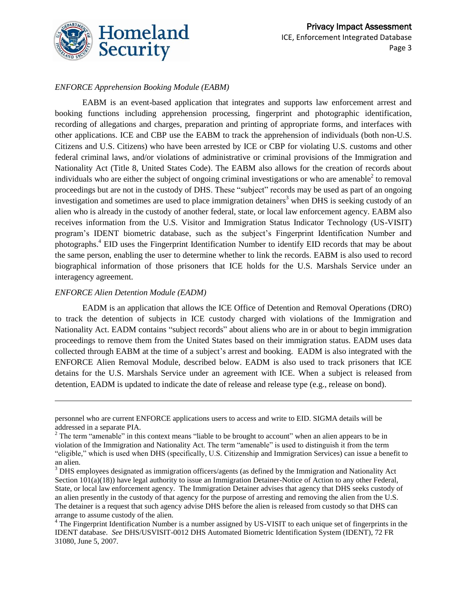

#### *ENFORCE Apprehension Booking Module (EABM)*

EABM is an event-based application that integrates and supports law enforcement arrest and booking functions including apprehension processing, fingerprint and photographic identification, recording of allegations and charges, preparation and printing of appropriate forms, and interfaces with other applications. ICE and CBP use the EABM to track the apprehension of individuals (both non-U.S. Citizens and U.S. Citizens) who have been arrested by ICE or CBP for violating U.S. customs and other federal criminal laws, and/or violations of administrative or criminal provisions of the Immigration and Nationality Act (Title 8, United States Code). The EABM also allows for the creation of records about individuals who are either the subject of ongoing criminal investigations or who are amenable<sup>2</sup> to removal proceedings but are not in the custody of DHS. These "subject" records may be used as part of an ongoing investigation and sometimes are used to place immigration detainers<sup>3</sup> when DHS is seeking custody of an alien who is already in the custody of another federal, state, or local law enforcement agency. EABM also receives information from the U.S. Visitor and Immigration Status Indicator Technology (US-VISIT) program's IDENT biometric database, such as the subject's Fingerprint Identification Number and photographs.<sup>4</sup> EID uses the Fingerprint Identification Number to identify EID records that may be about the same person, enabling the user to determine whether to link the records. EABM is also used to record biographical information of those prisoners that ICE holds for the U.S. Marshals Service under an interagency agreement.

#### *ENFORCE Alien Detention Module (EADM)*

 $\overline{\phantom{a}}$ 

EADM is an application that allows the ICE Office of Detention and Removal Operations (DRO) to track the detention of subjects in ICE custody charged with violations of the Immigration and Nationality Act. EADM contains "subject records" about aliens who are in or about to begin immigration proceedings to remove them from the United States based on their immigration status. EADM uses data collected through EABM at the time of a subject's arrest and booking. EADM is also integrated with the ENFORCE Alien Removal Module, described below. EADM is also used to track prisoners that ICE detains for the U.S. Marshals Service under an agreement with ICE. When a subject is released from detention, EADM is updated to indicate the date of release and release type (e.g., release on bond).

personnel who are current ENFORCE applications users to access and write to EID. SIGMA details will be addressed in a separate PIA.

 $2$  The term "amenable" in this context means "liable to be brought to account" when an alien appears to be in violation of the Immigration and Nationality Act. The term "amenable" is used to distinguish it from the term ―eligible,‖ which is used when DHS (specifically, U.S. Citizenship and Immigration Services) can issue a benefit to an alien.

<sup>&</sup>lt;sup>3</sup> DHS employees designated as immigration officers/agents (as defined by the Immigration and Nationality Act Section 101(a)(18)) have legal authority to issue an Immigration Detainer-Notice of Action to any other Federal, State, or local law enforcement agency. The Immigration Detainer advises that agency that DHS seeks custody of an alien presently in the custody of that agency for the purpose of arresting and removing the alien from the U.S. The detainer is a request that such agency advise DHS before the alien is released from custody so that DHS can arrange to assume custody of the alien.

<sup>&</sup>lt;sup>4</sup> The Fingerprint Identification Number is a number assigned by US-VISIT to each unique set of fingerprints in the IDENT database. *See* DHS/USVISIT-0012 DHS Automated Biometric Identification System (IDENT), 72 FR 31080, June 5, 2007.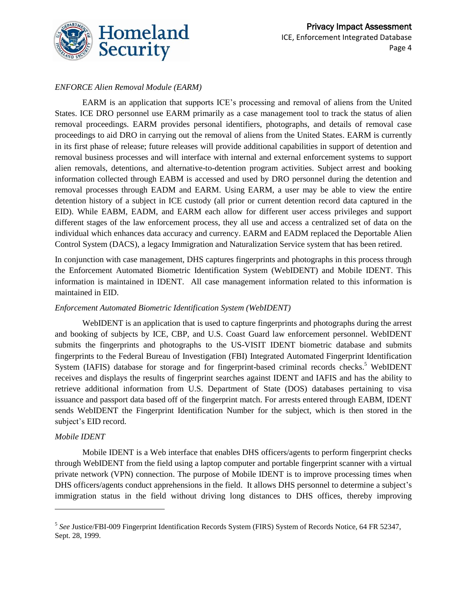

#### *ENFORCE Alien Removal Module (EARM)*

EARM is an application that supports ICE's processing and removal of aliens from the United States. ICE DRO personnel use EARM primarily as a case management tool to track the status of alien removal proceedings. EARM provides personal identifiers, photographs, and details of removal case proceedings to aid DRO in carrying out the removal of aliens from the United States. EARM is currently in its first phase of release; future releases will provide additional capabilities in support of detention and removal business processes and will interface with internal and external enforcement systems to support alien removals, detentions, and alternative-to-detention program activities. Subject arrest and booking information collected through EABM is accessed and used by DRO personnel during the detention and removal processes through EADM and EARM. Using EARM, a user may be able to view the entire detention history of a subject in ICE custody (all prior or current detention record data captured in the EID). While EABM, EADM, and EARM each allow for different user access privileges and support different stages of the law enforcement process, they all use and access a centralized set of data on the individual which enhances data accuracy and currency. EARM and EADM replaced the Deportable Alien Control System (DACS), a legacy Immigration and Naturalization Service system that has been retired.

In conjunction with case management, DHS captures fingerprints and photographs in this process through the Enforcement Automated Biometric Identification System (WebIDENT) and Mobile IDENT. This information is maintained in IDENT. All case management information related to this information is maintained in EID.

#### *Enforcement Automated Biometric Identification System (WebIDENT)*

WebIDENT is an application that is used to capture fingerprints and photographs during the arrest and booking of subjects by ICE, CBP, and U.S. Coast Guard law enforcement personnel. WebIDENT submits the fingerprints and photographs to the US-VISIT IDENT biometric database and submits fingerprints to the Federal Bureau of Investigation (FBI) Integrated Automated Fingerprint Identification System (IAFIS) database for storage and for fingerprint-based criminal records checks.<sup>5</sup> WebIDENT receives and displays the results of fingerprint searches against IDENT and IAFIS and has the ability to retrieve additional information from U.S. Department of State (DOS) databases pertaining to visa issuance and passport data based off of the fingerprint match. For arrests entered through EABM, IDENT sends WebIDENT the Fingerprint Identification Number for the subject, which is then stored in the subject's EID record.

#### *Mobile IDENT*

 $\overline{a}$ 

Mobile IDENT is a Web interface that enables DHS officers/agents to perform fingerprint checks through WebIDENT from the field using a laptop computer and portable fingerprint scanner with a virtual private network (VPN) connection. The purpose of Mobile IDENT is to improve processing times when DHS officers/agents conduct apprehensions in the field. It allows DHS personnel to determine a subject's immigration status in the field without driving long distances to DHS offices, thereby improving

<sup>5</sup> *See* Justice/FBI-009 Fingerprint Identification Records System (FIRS) System of Records Notice, 64 FR 52347, Sept. 28, 1999.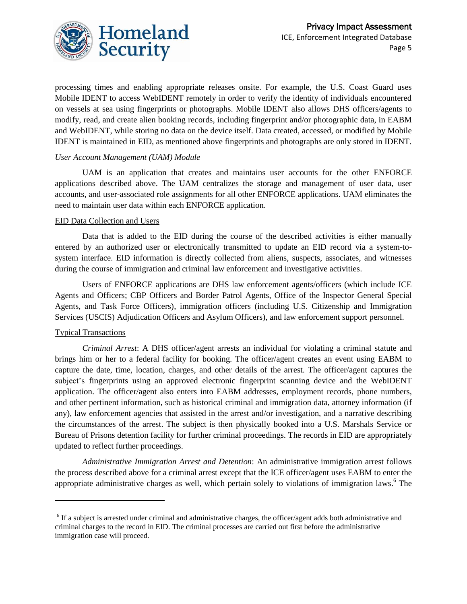

processing times and enabling appropriate releases onsite. For example, the U.S. Coast Guard uses Mobile IDENT to access WebIDENT remotely in order to verify the identity of individuals encountered on vessels at sea using fingerprints or photographs. Mobile IDENT also allows DHS officers/agents to modify, read, and create alien booking records, including fingerprint and/or photographic data, in EABM and WebIDENT, while storing no data on the device itself. Data created, accessed, or modified by Mobile IDENT is maintained in EID, as mentioned above fingerprints and photographs are only stored in IDENT.

#### *User Account Management (UAM) Module*

UAM is an application that creates and maintains user accounts for the other ENFORCE applications described above. The UAM centralizes the storage and management of user data, user accounts, and user-associated role assignments for all other ENFORCE applications. UAM eliminates the need to maintain user data within each ENFORCE application.

#### EID Data Collection and Users

Data that is added to the EID during the course of the described activities is either manually entered by an authorized user or electronically transmitted to update an EID record via a system-tosystem interface. EID information is directly collected from aliens, suspects, associates, and witnesses during the course of immigration and criminal law enforcement and investigative activities.

Users of ENFORCE applications are DHS law enforcement agents/officers (which include ICE Agents and Officers; CBP Officers and Border Patrol Agents, Office of the Inspector General Special Agents, and Task Force Officers), immigration officers (including U.S. Citizenship and Immigration Services (USCIS) Adjudication Officers and Asylum Officers), and law enforcement support personnel.

#### Typical Transactions

 $\overline{\phantom{a}}$ 

*Criminal Arrest*: A DHS officer/agent arrests an individual for violating a criminal statute and brings him or her to a federal facility for booking. The officer/agent creates an event using EABM to capture the date, time, location, charges, and other details of the arrest. The officer/agent captures the subject's fingerprints using an approved electronic fingerprint scanning device and the WebIDENT application. The officer/agent also enters into EABM addresses, employment records, phone numbers, and other pertinent information, such as historical criminal and immigration data, attorney information (if any), law enforcement agencies that assisted in the arrest and/or investigation, and a narrative describing the circumstances of the arrest. The subject is then physically booked into a U.S. Marshals Service or Bureau of Prisons detention facility for further criminal proceedings. The records in EID are appropriately updated to reflect further proceedings.

*Administrative Immigration Arrest and Detention*: An administrative immigration arrest follows the process described above for a criminal arrest except that the ICE officer/agent uses EABM to enter the appropriate administrative charges as well, which pertain solely to violations of immigration laws. <sup>6</sup> The

<sup>&</sup>lt;sup>6</sup> If a subject is arrested under criminal and administrative charges, the officer/agent adds both administrative and criminal charges to the record in EID. The criminal processes are carried out first before the administrative immigration case will proceed.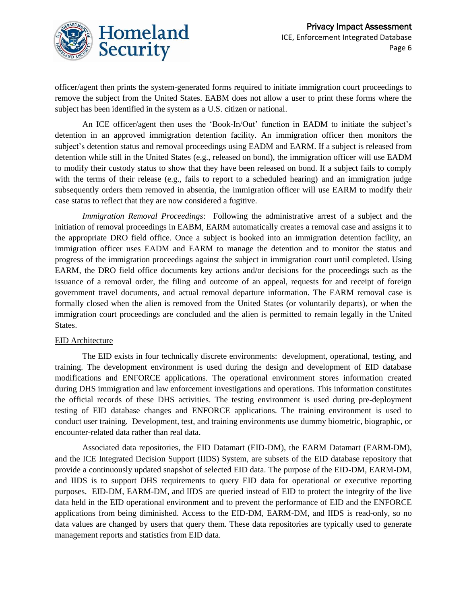

officer/agent then prints the system-generated forms required to initiate immigration court proceedings to remove the subject from the United States. EABM does not allow a user to print these forms where the subject has been identified in the system as a U.S. citizen or national.

An ICE officer/agent then uses the 'Book-In/Out' function in EADM to initiate the subject's detention in an approved immigration detention facility. An immigration officer then monitors the subject's detention status and removal proceedings using EADM and EARM. If a subject is released from detention while still in the United States (e.g., released on bond), the immigration officer will use EADM to modify their custody status to show that they have been released on bond. If a subject fails to comply with the terms of their release (e.g., fails to report to a scheduled hearing) and an immigration judge subsequently orders them removed in absentia, the immigration officer will use EARM to modify their case status to reflect that they are now considered a fugitive.

*Immigration Removal Proceedings*: Following the administrative arrest of a subject and the initiation of removal proceedings in EABM, EARM automatically creates a removal case and assigns it to the appropriate DRO field office. Once a subject is booked into an immigration detention facility, an immigration officer uses EADM and EARM to manage the detention and to monitor the status and progress of the immigration proceedings against the subject in immigration court until completed. Using EARM, the DRO field office documents key actions and/or decisions for the proceedings such as the issuance of a removal order, the filing and outcome of an appeal, requests for and receipt of foreign government travel documents, and actual removal departure information. The EARM removal case is formally closed when the alien is removed from the United States (or voluntarily departs), or when the immigration court proceedings are concluded and the alien is permitted to remain legally in the United States.

#### EID Architecture

The EID exists in four technically discrete environments: development, operational, testing, and training. The development environment is used during the design and development of EID database modifications and ENFORCE applications. The operational environment stores information created during DHS immigration and law enforcement investigations and operations. This information constitutes the official records of these DHS activities. The testing environment is used during pre-deployment testing of EID database changes and ENFORCE applications. The training environment is used to conduct user training. Development, test, and training environments use dummy biometric, biographic, or encounter-related data rather than real data.

Associated data repositories, the EID Datamart (EID-DM), the EARM Datamart (EARM-DM), and the ICE Integrated Decision Support (IIDS) System, are subsets of the EID database repository that provide a continuously updated snapshot of selected EID data. The purpose of the EID-DM, EARM-DM, and IIDS is to support DHS requirements to query EID data for operational or executive reporting purposes. EID-DM, EARM-DM, and IIDS are queried instead of EID to protect the integrity of the live data held in the EID operational environment and to prevent the performance of EID and the ENFORCE applications from being diminished. Access to the EID-DM, EARM-DM, and IIDS is read-only, so no data values are changed by users that query them. These data repositories are typically used to generate management reports and statistics from EID data.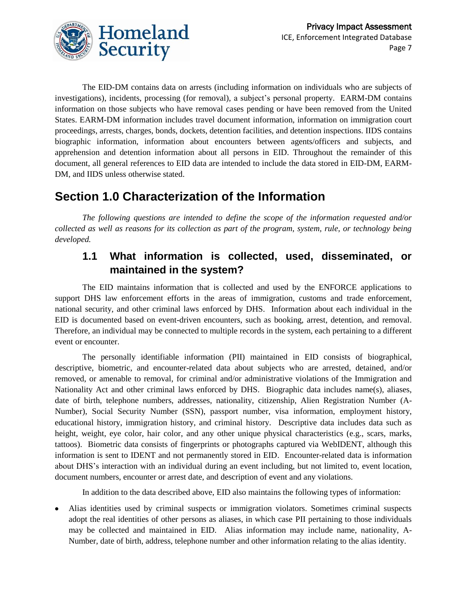

The EID-DM contains data on arrests (including information on individuals who are subjects of investigations), incidents, processing (for removal), a subject's personal property. EARM-DM contains information on those subjects who have removal cases pending or have been removed from the United States. EARM-DM information includes travel document information, information on immigration court proceedings, arrests, charges, bonds, dockets, detention facilities, and detention inspections. IIDS contains biographic information, information about encounters between agents/officers and subjects, and apprehension and detention information about all persons in EID. Throughout the remainder of this document, all general references to EID data are intended to include the data stored in EID-DM, EARM-DM, and IIDS unless otherwise stated.

# **Section 1.0 Characterization of the Information**

*The following questions are intended to define the scope of the information requested and/or collected as well as reasons for its collection as part of the program, system, rule, or technology being developed.* 

# **1.1 What information is collected, used, disseminated, or maintained in the system?**

The EID maintains information that is collected and used by the ENFORCE applications to support DHS law enforcement efforts in the areas of immigration, customs and trade enforcement, national security, and other criminal laws enforced by DHS. Information about each individual in the EID is documented based on event-driven encounters, such as booking, arrest, detention, and removal. Therefore, an individual may be connected to multiple records in the system, each pertaining to a different event or encounter.

The personally identifiable information (PII) maintained in EID consists of biographical, descriptive, biometric, and encounter-related data about subjects who are arrested, detained, and/or removed, or amenable to removal, for criminal and/or administrative violations of the Immigration and Nationality Act and other criminal laws enforced by DHS. Biographic data includes name(s), aliases, date of birth, telephone numbers, addresses, nationality, citizenship, Alien Registration Number (A-Number), Social Security Number (SSN), passport number, visa information, employment history, educational history, immigration history, and criminal history. Descriptive data includes data such as height, weight, eye color, hair color, and any other unique physical characteristics (e.g., scars, marks, tattoos). Biometric data consists of fingerprints or photographs captured via WebIDENT, although this information is sent to IDENT and not permanently stored in EID. Encounter-related data is information about DHS's interaction with an individual during an event including, but not limited to, event location, document numbers, encounter or arrest date, and description of event and any violations.

In addition to the data described above, EID also maintains the following types of information:

Alias identities used by criminal suspects or immigration violators. Sometimes criminal suspects  $\bullet$ adopt the real identities of other persons as aliases, in which case PII pertaining to those individuals may be collected and maintained in EID. Alias information may include name, nationality, A-Number, date of birth, address, telephone number and other information relating to the alias identity.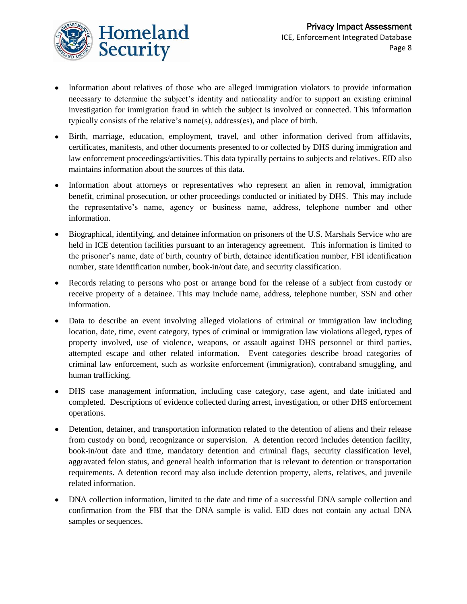- Information about relatives of those who are alleged immigration violators to provide information necessary to determine the subject's identity and nationality and/or to support an existing criminal investigation for immigration fraud in which the subject is involved or connected. This information typically consists of the relative's name(s), address(es), and place of birth.
- Birth, marriage, education, employment, travel, and other information derived from affidavits, certificates, manifests, and other documents presented to or collected by DHS during immigration and law enforcement proceedings/activities. This data typically pertains to subjects and relatives. EID also maintains information about the sources of this data.
- Information about attorneys or representatives who represent an alien in removal, immigration  $\bullet$ benefit, criminal prosecution, or other proceedings conducted or initiated by DHS. This may include the representative's name, agency or business name, address, telephone number and other information.
- Biographical, identifying, and detainee information on prisoners of the U.S. Marshals Service who are held in ICE detention facilities pursuant to an interagency agreement. This information is limited to the prisoner's name, date of birth, country of birth, detainee identification number, FBI identification number, state identification number, book-in/out date, and security classification.
- Records relating to persons who post or arrange bond for the release of a subject from custody or receive property of a detainee. This may include name, address, telephone number, SSN and other information.
- Data to describe an event involving alleged violations of criminal or immigration law including location, date, time, event category, types of criminal or immigration law violations alleged, types of property involved, use of violence, weapons, or assault against DHS personnel or third parties, attempted escape and other related information. Event categories describe broad categories of criminal law enforcement, such as worksite enforcement (immigration), contraband smuggling, and human trafficking.
- DHS case management information, including case category, case agent, and date initiated and completed. Descriptions of evidence collected during arrest, investigation, or other DHS enforcement operations.
- Detention, detainer, and transportation information related to the detention of aliens and their release from custody on bond, recognizance or supervision. A detention record includes detention facility, book-in/out date and time, mandatory detention and criminal flags, security classification level, aggravated felon status, and general health information that is relevant to detention or transportation requirements. A detention record may also include detention property, alerts, relatives, and juvenile related information.
- DNA collection information, limited to the date and time of a successful DNA sample collection and confirmation from the FBI that the DNA sample is valid. EID does not contain any actual DNA samples or sequences.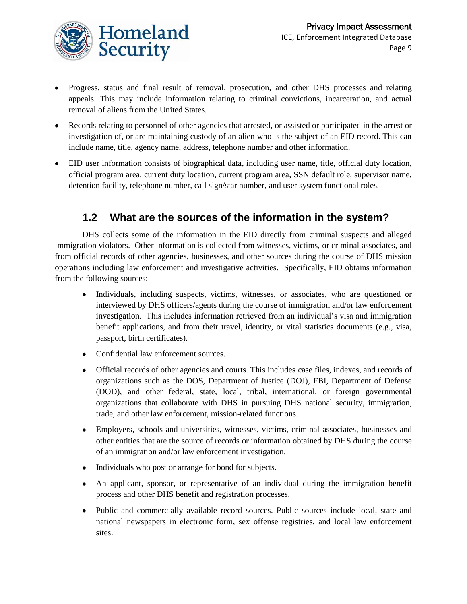

- Progress, status and final result of removal, prosecution, and other DHS processes and relating appeals. This may include information relating to criminal convictions, incarceration, and actual removal of aliens from the United States.
- Records relating to personnel of other agencies that arrested, or assisted or participated in the arrest or  $\bullet$ investigation of, or are maintaining custody of an alien who is the subject of an EID record. This can include name, title, agency name, address, telephone number and other information.
- EID user information consists of biographical data, including user name, title, official duty location, official program area, current duty location, current program area, SSN default role, supervisor name, detention facility, telephone number, call sign/star number, and user system functional roles.

# **1.2 What are the sources of the information in the system?**

DHS collects some of the information in the EID directly from criminal suspects and alleged immigration violators. Other information is collected from witnesses, victims, or criminal associates, and from official records of other agencies, businesses, and other sources during the course of DHS mission operations including law enforcement and investigative activities. Specifically, EID obtains information from the following sources:

- Individuals, including suspects, victims, witnesses, or associates, who are questioned or interviewed by DHS officers/agents during the course of immigration and/or law enforcement investigation. This includes information retrieved from an individual's visa and immigration benefit applications, and from their travel, identity, or vital statistics documents (e.g., visa, passport, birth certificates).
- Confidential law enforcement sources.
- Official records of other agencies and courts. This includes case files, indexes, and records of organizations such as the DOS, Department of Justice (DOJ), FBI, Department of Defense (DOD), and other federal, state, local, tribal, international, or foreign governmental organizations that collaborate with DHS in pursuing DHS national security, immigration, trade, and other law enforcement, mission-related functions.
- Employers, schools and universities, witnesses, victims, criminal associates, businesses and other entities that are the source of records or information obtained by DHS during the course of an immigration and/or law enforcement investigation.
- Individuals who post or arrange for bond for subjects.
- An applicant, sponsor, or representative of an individual during the immigration benefit process and other DHS benefit and registration processes.
- Public and commercially available record sources. Public sources include local, state and national newspapers in electronic form, sex offense registries, and local law enforcement sites.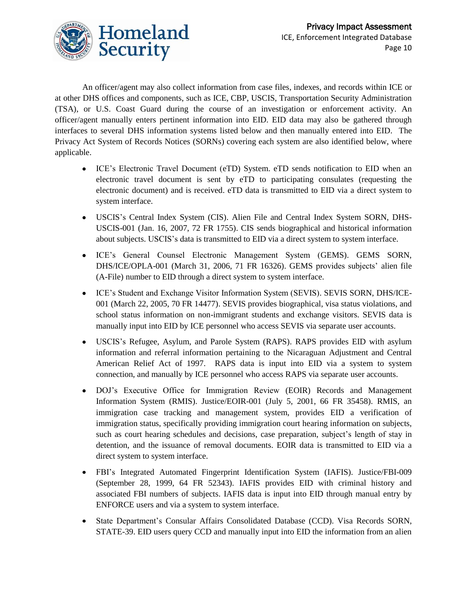

An officer/agent may also collect information from case files, indexes, and records within ICE or at other DHS offices and components, such as ICE, CBP, USCIS, Transportation Security Administration (TSA), or U.S. Coast Guard during the course of an investigation or enforcement activity. An officer/agent manually enters pertinent information into EID. EID data may also be gathered through interfaces to several DHS information systems listed below and then manually entered into EID. The Privacy Act System of Records Notices (SORNs) covering each system are also identified below, where applicable.

- ICE's Electronic Travel Document (eTD) System. eTD sends notification to EID when an electronic travel document is sent by eTD to participating consulates (requesting the electronic document) and is received. eTD data is transmitted to EID via a direct system to system interface.
- USCIS's Central Index System (CIS). Alien File and Central Index System SORN, DHS-USCIS-001 (Jan. 16, 2007, 72 FR 1755). CIS sends biographical and historical information about subjects. USCIS's data is transmitted to EID via a direct system to system interface.
- ICE's General Counsel Electronic Management System (GEMS). GEMS SORN, DHS/ICE/OPLA-001 (March 31, 2006, 71 FR 16326). GEMS provides subjects' alien file (A-File) number to EID through a direct system to system interface.
- ICE's Student and Exchange Visitor Information System (SEVIS). SEVIS SORN, DHS/ICE-001 (March 22, 2005, 70 FR 14477). SEVIS provides biographical, visa status violations, and school status information on non-immigrant students and exchange visitors. SEVIS data is manually input into EID by ICE personnel who access SEVIS via separate user accounts.
- USCIS's Refugee, Asylum, and Parole System (RAPS). RAPS provides EID with asylum information and referral information pertaining to the Nicaraguan Adjustment and Central American Relief Act of 1997. RAPS data is input into EID via a system to system connection, and manually by ICE personnel who access RAPS via separate user accounts.
- DOJ's Executive Office for Immigration Review (EOIR) Records and Management  $\bullet$ Information System (RMIS). Justice/EOIR-001 (July 5, 2001, 66 FR 35458). RMIS, an immigration case tracking and management system, provides EID a verification of immigration status, specifically providing immigration court hearing information on subjects, such as court hearing schedules and decisions, case preparation, subject's length of stay in detention, and the issuance of removal documents. EOIR data is transmitted to EID via a direct system to system interface.
- FBI's Integrated Automated Fingerprint Identification System (IAFIS). Justice/FBI-009 (September 28, 1999, 64 FR 52343). IAFIS provides EID with criminal history and associated FBI numbers of subjects. IAFIS data is input into EID through manual entry by ENFORCE users and via a system to system interface.
- State Department's Consular Affairs Consolidated Database (CCD). Visa Records SORN,  $\bullet$ STATE-39. EID users query CCD and manually input into EID the information from an alien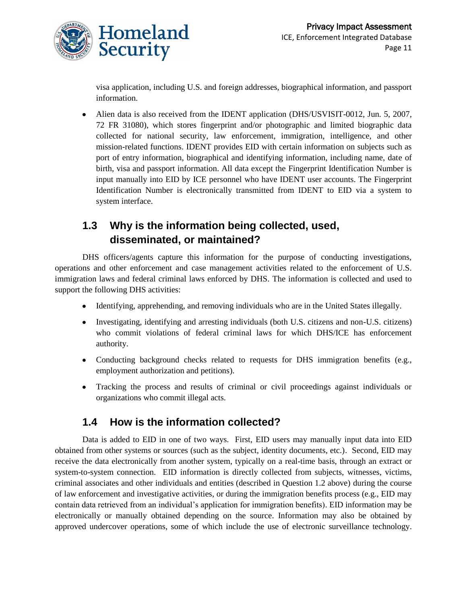

visa application, including U.S. and foreign addresses, biographical information, and passport information.

Alien data is also received from the IDENT application (DHS/USVISIT-0012, Jun. 5, 2007,  $\bullet$ 72 FR 31080), which stores fingerprint and/or photographic and limited biographic data collected for national security, law enforcement, immigration, intelligence, and other mission-related functions. IDENT provides EID with certain information on subjects such as port of entry information, biographical and identifying information, including name, date of birth, visa and passport information. All data except the Fingerprint Identification Number is input manually into EID by ICE personnel who have IDENT user accounts. The Fingerprint Identification Number is electronically transmitted from IDENT to EID via a system to system interface.

# **1.3 Why is the information being collected, used, disseminated, or maintained?**

DHS officers/agents capture this information for the purpose of conducting investigations, operations and other enforcement and case management activities related to the enforcement of U.S. immigration laws and federal criminal laws enforced by DHS. The information is collected and used to support the following DHS activities:

- Identifying, apprehending, and removing individuals who are in the United States illegally.
- Investigating, identifying and arresting individuals (both U.S. citizens and non-U.S. citizens) who commit violations of federal criminal laws for which DHS/ICE has enforcement authority.
- Conducting background checks related to requests for DHS immigration benefits (e.g., employment authorization and petitions).
- Tracking the process and results of criminal or civil proceedings against individuals or organizations who commit illegal acts.

# **1.4 How is the information collected?**

Data is added to EID in one of two ways. First, EID users may manually input data into EID obtained from other systems or sources (such as the subject, identity documents, etc.). Second, EID may receive the data electronically from another system, typically on a real-time basis, through an extract or system-to-system connection. EID information is directly collected from subjects, witnesses, victims, criminal associates and other individuals and entities (described in Question 1.2 above) during the course of law enforcement and investigative activities, or during the immigration benefits process (e.g., EID may contain data retrieved from an individual's application for immigration benefits). EID information may be electronically or manually obtained depending on the source. Information may also be obtained by approved undercover operations, some of which include the use of electronic surveillance technology.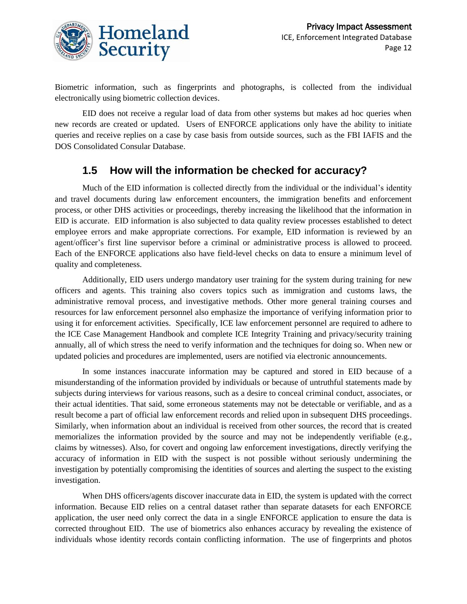

Biometric information, such as fingerprints and photographs, is collected from the individual electronically using biometric collection devices.

EID does not receive a regular load of data from other systems but makes ad hoc queries when new records are created or updated. Users of ENFORCE applications only have the ability to initiate queries and receive replies on a case by case basis from outside sources, such as the FBI IAFIS and the DOS Consolidated Consular Database.

#### **1.5 How will the information be checked for accuracy?**

Much of the EID information is collected directly from the individual or the individual's identity and travel documents during law enforcement encounters, the immigration benefits and enforcement process, or other DHS activities or proceedings, thereby increasing the likelihood that the information in EID is accurate. EID information is also subjected to data quality review processes established to detect employee errors and make appropriate corrections. For example, EID information is reviewed by an agent/officer's first line supervisor before a criminal or administrative process is allowed to proceed. Each of the ENFORCE applications also have field-level checks on data to ensure a minimum level of quality and completeness.

Additionally, EID users undergo mandatory user training for the system during training for new officers and agents. This training also covers topics such as immigration and customs laws, the administrative removal process, and investigative methods. Other more general training courses and resources for law enforcement personnel also emphasize the importance of verifying information prior to using it for enforcement activities. Specifically, ICE law enforcement personnel are required to adhere to the ICE Case Management Handbook and complete ICE Integrity Training and privacy/security training annually, all of which stress the need to verify information and the techniques for doing so. When new or updated policies and procedures are implemented, users are notified via electronic announcements.

In some instances inaccurate information may be captured and stored in EID because of a misunderstanding of the information provided by individuals or because of untruthful statements made by subjects during interviews for various reasons, such as a desire to conceal criminal conduct, associates, or their actual identities. That said, some erroneous statements may not be detectable or verifiable, and as a result become a part of official law enforcement records and relied upon in subsequent DHS proceedings. Similarly, when information about an individual is received from other sources, the record that is created memorializes the information provided by the source and may not be independently verifiable (e.g., claims by witnesses). Also, for covert and ongoing law enforcement investigations, directly verifying the accuracy of information in EID with the suspect is not possible without seriously undermining the investigation by potentially compromising the identities of sources and alerting the suspect to the existing investigation.

When DHS officers/agents discover inaccurate data in EID, the system is updated with the correct information. Because EID relies on a central dataset rather than separate datasets for each ENFORCE application, the user need only correct the data in a single ENFORCE application to ensure the data is corrected throughout EID. The use of biometrics also enhances accuracy by revealing the existence of individuals whose identity records contain conflicting information. The use of fingerprints and photos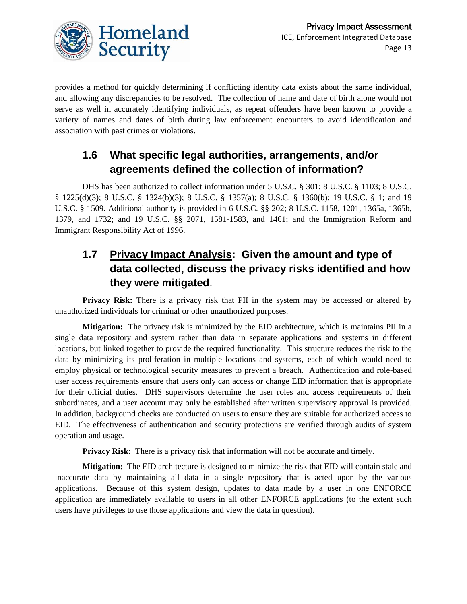

provides a method for quickly determining if conflicting identity data exists about the same individual, and allowing any discrepancies to be resolved. The collection of name and date of birth alone would not serve as well in accurately identifying individuals, as repeat offenders have been known to provide a variety of names and dates of birth during law enforcement encounters to avoid identification and association with past crimes or violations.

# **1.6 What specific legal authorities, arrangements, and/or agreements defined the collection of information?**

DHS has been authorized to collect information under 5 U.S.C. § 301; 8 U.S.C. § 1103; 8 U.S.C. § 1225(d)(3); 8 U.S.C. § 1324(b)(3); 8 U.S.C. § 1357(a); 8 U.S.C. § 1360(b); 19 U.S.C. § 1; and 19 U.S.C. § 1509. Additional authority is provided in 6 U.S.C. §§ 202; 8 U.S.C. 1158, 1201, 1365a, 1365b, 1379, and 1732; and 19 U.S.C. §§ 2071, 1581-1583, and 1461; and the Immigration Reform and Immigrant Responsibility Act of 1996.

# **1.7 Privacy Impact Analysis: Given the amount and type of data collected, discuss the privacy risks identified and how they were mitigated**.

**Privacy Risk:** There is a privacy risk that PII in the system may be accessed or altered by unauthorized individuals for criminal or other unauthorized purposes.

**Mitigation:** The privacy risk is minimized by the EID architecture, which is maintains PII in a single data repository and system rather than data in separate applications and systems in different locations, but linked together to provide the required functionality. This structure reduces the risk to the data by minimizing its proliferation in multiple locations and systems, each of which would need to employ physical or technological security measures to prevent a breach. Authentication and role-based user access requirements ensure that users only can access or change EID information that is appropriate for their official duties. DHS supervisors determine the user roles and access requirements of their subordinates, and a user account may only be established after written supervisory approval is provided. In addition, background checks are conducted on users to ensure they are suitable for authorized access to EID. The effectiveness of authentication and security protections are verified through audits of system operation and usage.

**Privacy Risk:** There is a privacy risk that information will not be accurate and timely.

**Mitigation:** The EID architecture is designed to minimize the risk that EID will contain stale and inaccurate data by maintaining all data in a single repository that is acted upon by the various applications. Because of this system design, updates to data made by a user in one ENFORCE application are immediately available to users in all other ENFORCE applications (to the extent such users have privileges to use those applications and view the data in question).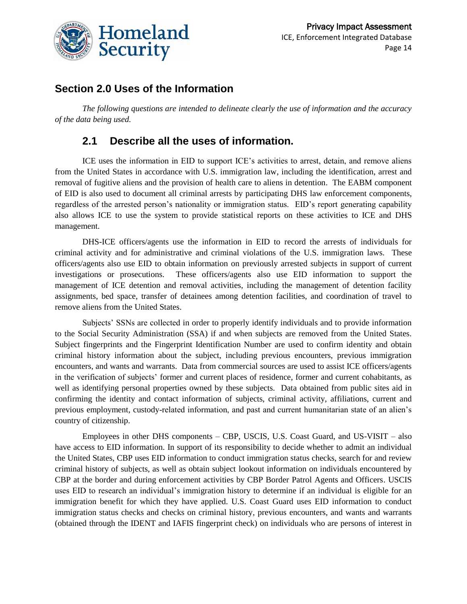

## **Section 2.0 Uses of the Information**

*The following questions are intended to delineate clearly the use of information and the accuracy of the data being used.* 

## **2.1 Describe all the uses of information.**

ICE uses the information in EID to support ICE's activities to arrest, detain, and remove aliens from the United States in accordance with U.S. immigration law, including the identification, arrest and removal of fugitive aliens and the provision of health care to aliens in detention. The EABM component of EID is also used to document all criminal arrests by participating DHS law enforcement components, regardless of the arrested person's nationality or immigration status. EID's report generating capability also allows ICE to use the system to provide statistical reports on these activities to ICE and DHS management.

DHS-ICE officers/agents use the information in EID to record the arrests of individuals for criminal activity and for administrative and criminal violations of the U.S. immigration laws. These officers/agents also use EID to obtain information on previously arrested subjects in support of current investigations or prosecutions. These officers/agents also use EID information to support the management of ICE detention and removal activities, including the management of detention facility assignments, bed space, transfer of detainees among detention facilities, and coordination of travel to remove aliens from the United States.

Subjects' SSNs are collected in order to properly identify individuals and to provide information to the Social Security Administration (SSA) if and when subjects are removed from the United States. Subject fingerprints and the Fingerprint Identification Number are used to confirm identity and obtain criminal history information about the subject, including previous encounters, previous immigration encounters, and wants and warrants. Data from commercial sources are used to assist ICE officers/agents in the verification of subjects' former and current places of residence, former and current cohabitants, as well as identifying personal properties owned by these subjects. Data obtained from public sites aid in confirming the identity and contact information of subjects, criminal activity, affiliations, current and previous employment, custody-related information, and past and current humanitarian state of an alien's country of citizenship.

Employees in other DHS components – CBP, USCIS, U.S. Coast Guard, and US-VISIT – also have access to EID information. In support of its responsibility to decide whether to admit an individual the United States, CBP uses EID information to conduct immigration status checks, search for and review criminal history of subjects, as well as obtain subject lookout information on individuals encountered by CBP at the border and during enforcement activities by CBP Border Patrol Agents and Officers. USCIS uses EID to research an individual's immigration history to determine if an individual is eligible for an immigration benefit for which they have applied. U.S. Coast Guard uses EID information to conduct immigration status checks and checks on criminal history, previous encounters, and wants and warrants (obtained through the IDENT and IAFIS fingerprint check) on individuals who are persons of interest in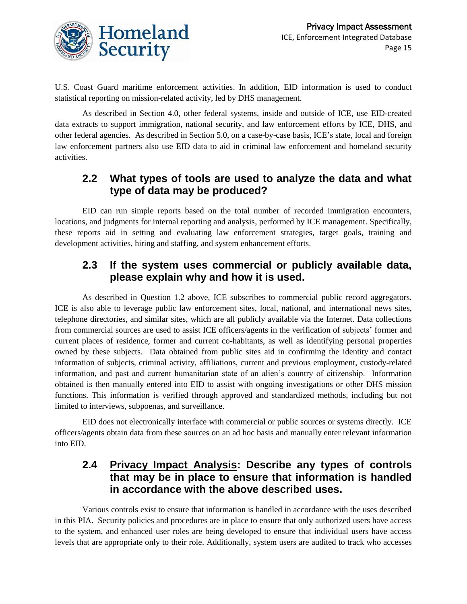

U.S. Coast Guard maritime enforcement activities. In addition, EID information is used to conduct statistical reporting on mission-related activity, led by DHS management.

As described in Section 4.0, other federal systems, inside and outside of ICE, use EID-created data extracts to support immigration, national security, and law enforcement efforts by ICE, DHS, and other federal agencies. As described in Section 5.0, on a case-by-case basis, ICE's state, local and foreign law enforcement partners also use EID data to aid in criminal law enforcement and homeland security activities.

#### **2.2 What types of tools are used to analyze the data and what type of data may be produced?**

EID can run simple reports based on the total number of recorded immigration encounters, locations, and judgments for internal reporting and analysis, performed by ICE management. Specifically, these reports aid in setting and evaluating law enforcement strategies, target goals, training and development activities, hiring and staffing, and system enhancement efforts.

#### **2.3 If the system uses commercial or publicly available data, please explain why and how it is used.**

As described in Question 1.2 above, ICE subscribes to commercial public record aggregators. ICE is also able to leverage public law enforcement sites, local, national, and international news sites, telephone directories, and similar sites, which are all publicly available via the Internet. Data collections from commercial sources are used to assist ICE officers/agents in the verification of subjects' former and current places of residence, former and current co-habitants, as well as identifying personal properties owned by these subjects. Data obtained from public sites aid in confirming the identity and contact information of subjects, criminal activity, affiliations, current and previous employment, custody-related information, and past and current humanitarian state of an alien's country of citizenship. Information obtained is then manually entered into EID to assist with ongoing investigations or other DHS mission functions. This information is verified through approved and standardized methods, including but not limited to interviews, subpoenas, and surveillance.

EID does not electronically interface with commercial or public sources or systems directly. ICE officers/agents obtain data from these sources on an ad hoc basis and manually enter relevant information into EID.

#### **2.4 Privacy Impact Analysis: Describe any types of controls that may be in place to ensure that information is handled in accordance with the above described uses.**

Various controls exist to ensure that information is handled in accordance with the uses described in this PIA. Security policies and procedures are in place to ensure that only authorized users have access to the system, and enhanced user roles are being developed to ensure that individual users have access levels that are appropriate only to their role. Additionally, system users are audited to track who accesses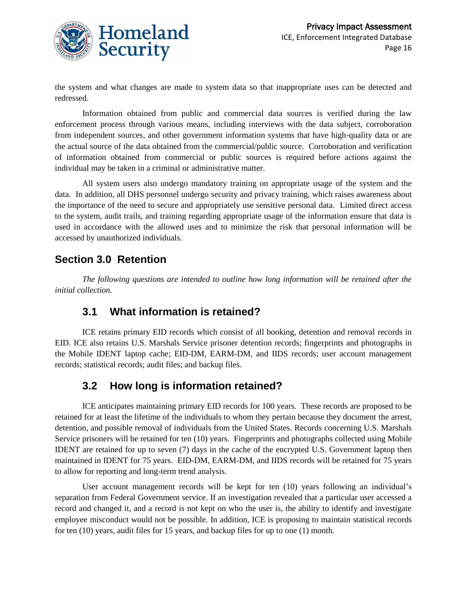

the system and what changes are made to system data so that inappropriate uses can be detected and redressed.

Information obtained from public and commercial data sources is verified during the law enforcement process through various means, including interviews with the data subject, corroboration from independent sources, and other government information systems that have high-quality data or are the actual source of the data obtained from the commercial/public source. Corroboration and verification of information obtained from commercial or public sources is required before actions against the individual may be taken in a criminal or administrative matter.

All system users also undergo mandatory training on appropriate usage of the system and the data. In addition, all DHS personnel undergo security and privacy training, which raises awareness about the importance of the need to secure and appropriately use sensitive personal data. Limited direct access to the system, audit trails, and training regarding appropriate usage of the information ensure that data is used in accordance with the allowed uses and to minimize the risk that personal information will be accessed by unauthorized individuals.

#### **Section 3.0 Retention**

*The following questions are intended to outline how long information will be retained after the initial collection.*

#### **3.1 What information is retained?**

ICE retains primary EID records which consist of all booking, detention and removal records in EID. ICE also retains U.S. Marshals Service prisoner detention records; fingerprints and photographs in the Mobile IDENT laptop cache; EID-DM, EARM-DM, and IIDS records; user account management records; statistical records; audit files; and backup files.

#### **3.2 How long is information retained?**

ICE anticipates maintaining primary EID records for 100 years. These records are proposed to be retained for at least the lifetime of the individuals to whom they pertain because they document the arrest, detention, and possible removal of individuals from the United States. Records concerning U.S. Marshals Service prisoners will be retained for ten (10) years. Fingerprints and photographs collected using Mobile IDENT are retained for up to seven (7) days in the cache of the encrypted U.S. Government laptop then maintained in IDENT for 75 years. EID-DM, EARM-DM, and IIDS records will be retained for 75 years to allow for reporting and long-term trend analysis.

User account management records will be kept for ten (10) years following an individual's separation from Federal Government service. If an investigation revealed that a particular user accessed a record and changed it, and a record is not kept on who the user is, the ability to identify and investigate employee misconduct would not be possible. In addition, ICE is proposing to maintain statistical records for ten (10) years, audit files for 15 years, and backup files for up to one (1) month.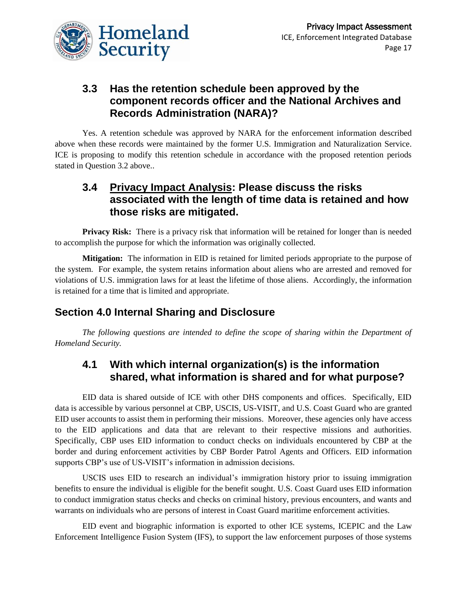

## **3.3 Has the retention schedule been approved by the component records officer and the National Archives and Records Administration (NARA)?**

Yes. A retention schedule was approved by NARA for the enforcement information described above when these records were maintained by the former U.S. Immigration and Naturalization Service. ICE is proposing to modify this retention schedule in accordance with the proposed retention periods stated in Question 3.2 above..

#### **3.4 Privacy Impact Analysis: Please discuss the risks associated with the length of time data is retained and how those risks are mitigated.**

**Privacy Risk:** There is a privacy risk that information will be retained for longer than is needed to accomplish the purpose for which the information was originally collected.

**Mitigation:** The information in EID is retained for limited periods appropriate to the purpose of the system. For example, the system retains information about aliens who are arrested and removed for violations of U.S. immigration laws for at least the lifetime of those aliens. Accordingly, the information is retained for a time that is limited and appropriate.

# **Section 4.0 Internal Sharing and Disclosure**

*The following questions are intended to define the scope of sharing within the Department of Homeland Security.*

## **4.1 With which internal organization(s) is the information shared, what information is shared and for what purpose?**

EID data is shared outside of ICE with other DHS components and offices. Specifically, EID data is accessible by various personnel at CBP, USCIS, US-VISIT, and U.S. Coast Guard who are granted EID user accounts to assist them in performing their missions. Moreover, these agencies only have access to the EID applications and data that are relevant to their respective missions and authorities. Specifically, CBP uses EID information to conduct checks on individuals encountered by CBP at the border and during enforcement activities by CBP Border Patrol Agents and Officers. EID information supports CBP's use of US-VISIT's information in admission decisions.

USCIS uses EID to research an individual's immigration history prior to issuing immigration benefits to ensure the individual is eligible for the benefit sought. U.S. Coast Guard uses EID information to conduct immigration status checks and checks on criminal history, previous encounters, and wants and warrants on individuals who are persons of interest in Coast Guard maritime enforcement activities.

EID event and biographic information is exported to other ICE systems, ICEPIC and the Law Enforcement Intelligence Fusion System (IFS), to support the law enforcement purposes of those systems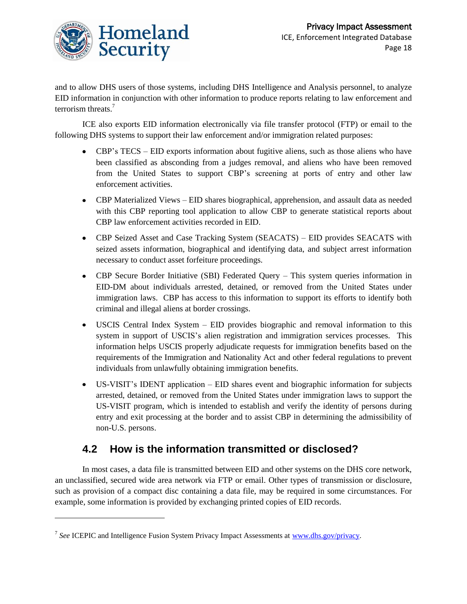

and to allow DHS users of those systems, including DHS Intelligence and Analysis personnel, to analyze EID information in conjunction with other information to produce reports relating to law enforcement and terrorism threats.<sup>7</sup>

ICE also exports EID information electronically via file transfer protocol (FTP) or email to the following DHS systems to support their law enforcement and/or immigration related purposes:

- CBP's TECS EID exports information about fugitive aliens, such as those aliens who have been classified as absconding from a judges removal, and aliens who have been removed from the United States to support CBP's screening at ports of entry and other law enforcement activities.
- CBP Materialized Views EID shares biographical, apprehension, and assault data as needed with this CBP reporting tool application to allow CBP to generate statistical reports about CBP law enforcement activities recorded in EID.
- CBP Seized Asset and Case Tracking System (SEACATS) EID provides SEACATS with seized assets information, biographical and identifying data, and subject arrest information necessary to conduct asset forfeiture proceedings.
- CBP Secure Border Initiative (SBI) Federated Query This system queries information in EID-DM about individuals arrested, detained, or removed from the United States under immigration laws. CBP has access to this information to support its efforts to identify both criminal and illegal aliens at border crossings.
- USCIS Central Index System EID provides biographic and removal information to this system in support of USCIS's alien registration and immigration services processes. This information helps USCIS properly adjudicate requests for immigration benefits based on the requirements of the Immigration and Nationality Act and other federal regulations to prevent individuals from unlawfully obtaining immigration benefits.
- US-VISIT's IDENT application EID shares event and biographic information for subjects  $\bullet$ arrested, detained, or removed from the United States under immigration laws to support the US-VISIT program, which is intended to establish and verify the identity of persons during entry and exit processing at the border and to assist CBP in determining the admissibility of non-U.S. persons.

# **4.2 How is the information transmitted or disclosed?**

In most cases, a data file is transmitted between EID and other systems on the DHS core network, an unclassified, secured wide area network via FTP or email. Other types of transmission or disclosure, such as provision of a compact disc containing a data file, may be required in some circumstances. For example, some information is provided by exchanging printed copies of EID records.

 $\overline{\phantom{a}}$ 

<sup>&</sup>lt;sup>7</sup> See ICEPIC and Intelligence Fusion System Privacy Impact Assessments at [www.dhs.gov/privacy.](http://www.dhs.gov/privacy)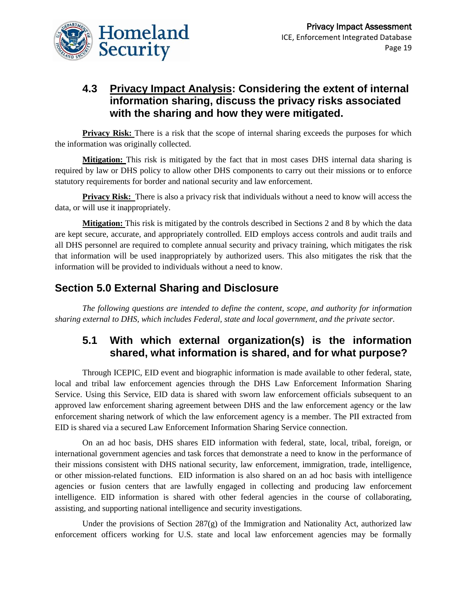

## **4.3 Privacy Impact Analysis: Considering the extent of internal information sharing, discuss the privacy risks associated with the sharing and how they were mitigated.**

**Privacy Risk:** There is a risk that the scope of internal sharing exceeds the purposes for which the information was originally collected.

**Mitigation:** This risk is mitigated by the fact that in most cases DHS internal data sharing is required by law or DHS policy to allow other DHS components to carry out their missions or to enforce statutory requirements for border and national security and law enforcement.

**Privacy Risk:** There is also a privacy risk that individuals without a need to know will access the data, or will use it inappropriately.

**Mitigation:** This risk is mitigated by the controls described in Sections 2 and 8 by which the data are kept secure, accurate, and appropriately controlled. EID employs access controls and audit trails and all DHS personnel are required to complete annual security and privacy training, which mitigates the risk that information will be used inappropriately by authorized users. This also mitigates the risk that the information will be provided to individuals without a need to know.

#### **Section 5.0 External Sharing and Disclosure**

*The following questions are intended to define the content, scope, and authority for information sharing external to DHS, which includes Federal, state and local government, and the private sector.*

#### **5.1 With which external organization(s) is the information shared, what information is shared, and for what purpose?**

Through ICEPIC, EID event and biographic information is made available to other federal, state, local and tribal law enforcement agencies through the DHS Law Enforcement Information Sharing Service. Using this Service, EID data is shared with sworn law enforcement officials subsequent to an approved law enforcement sharing agreement between DHS and the law enforcement agency or the law enforcement sharing network of which the law enforcement agency is a member. The PII extracted from EID is shared via a secured Law Enforcement Information Sharing Service connection.

On an ad hoc basis, DHS shares EID information with federal, state, local, tribal, foreign, or international government agencies and task forces that demonstrate a need to know in the performance of their missions consistent with DHS national security, law enforcement, immigration, trade, intelligence, or other mission-related functions. EID information is also shared on an ad hoc basis with intelligence agencies or fusion centers that are lawfully engaged in collecting and producing law enforcement intelligence. EID information is shared with other federal agencies in the course of collaborating, assisting, and supporting national intelligence and security investigations.

Under the provisions of Section  $287(g)$  of the Immigration and Nationality Act, authorized law enforcement officers working for U.S. state and local law enforcement agencies may be formally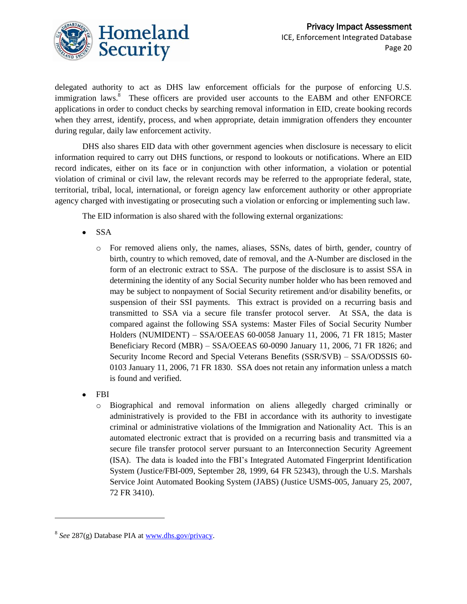

delegated authority to act as DHS law enforcement officials for the purpose of enforcing U.S. immigration laws.<sup>8</sup> These officers are provided user accounts to the EABM and other ENFORCE applications in order to conduct checks by searching removal information in EID, create booking records when they arrest, identify, process, and when appropriate, detain immigration offenders they encounter during regular, daily law enforcement activity.

DHS also shares EID data with other government agencies when disclosure is necessary to elicit information required to carry out DHS functions, or respond to lookouts or notifications. Where an EID record indicates, either on its face or in conjunction with other information, a violation or potential violation of criminal or civil law, the relevant records may be referred to the appropriate federal, state, territorial, tribal, local, international, or foreign agency law enforcement authority or other appropriate agency charged with investigating or prosecuting such a violation or enforcing or implementing such law.

The EID information is also shared with the following external organizations:

- SSA  $\bullet$ 
	- o For removed aliens only, the names, aliases, SSNs, dates of birth, gender, country of birth, country to which removed, date of removal, and the A-Number are disclosed in the form of an electronic extract to SSA. The purpose of the disclosure is to assist SSA in determining the identity of any Social Security number holder who has been removed and may be subject to nonpayment of Social Security retirement and/or disability benefits, or suspension of their SSI payments. This extract is provided on a recurring basis and transmitted to SSA via a secure file transfer protocol server. At SSA, the data is compared against the following SSA systems: Master Files of Social Security Number Holders (NUMIDENT) – SSA/OEEAS 60-0058 January 11, 2006, 71 FR 1815; Master Beneficiary Record (MBR) – SSA/OEEAS 60-0090 January 11, 2006, 71 FR 1826; and Security Income Record and Special Veterans Benefits (SSR/SVB) – SSA/ODSSIS 60- 0103 January 11, 2006, 71 FR 1830. SSA does not retain any information unless a match is found and verified.
- FBI

 $\overline{\phantom{a}}$ 

o Biographical and removal information on aliens allegedly charged criminally or administratively is provided to the FBI in accordance with its authority to investigate criminal or administrative violations of the Immigration and Nationality Act. This is an automated electronic extract that is provided on a recurring basis and transmitted via a secure file transfer protocol server pursuant to an Interconnection Security Agreement (ISA). The data is loaded into the FBI's Integrated Automated Fingerprint Identification System (Justice/FBI-009, September 28, 1999, 64 FR 52343), through the U.S. Marshals Service Joint Automated Booking System (JABS) (Justice USMS-005, January 25, 2007, 72 FR 3410).

<sup>&</sup>lt;sup>8</sup> See 287(g) Database PIA at [www.dhs.gov/privacy.](http://www.dhs.gov/privacy)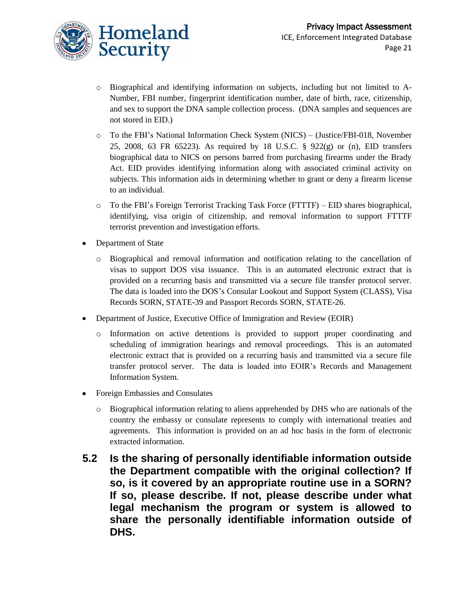- o Biographical and identifying information on subjects, including but not limited to A-Number, FBI number, fingerprint identification number, date of birth, race, citizenship, and sex to support the DNA sample collection process. (DNA samples and sequences are not stored in EID.)
- o To the FBI's National Information Check System (NICS) (Justice/FBI-018, November 25, 2008, 63 FR 65223). As required by 18 U.S.C. § 922(g) or (n), EID transfers biographical data to NICS on persons barred from purchasing firearms under the Brady Act. EID provides identifying information along with associated criminal activity on subjects. This information aids in determining whether to grant or deny a firearm license to an individual.
- o To the FBI's Foreign Terrorist Tracking Task Force (FTTTF) EID shares biographical, identifying, visa origin of citizenship, and removal information to support FTTTF terrorist prevention and investigation efforts.
- Department of State
	- o Biographical and removal information and notification relating to the cancellation of visas to support DOS visa issuance. This is an automated electronic extract that is provided on a recurring basis and transmitted via a secure file transfer protocol server. The data is loaded into the DOS's Consular Lookout and Support System (CLASS), Visa Records SORN, STATE-39 and Passport Records SORN, STATE-26.
- Department of Justice, Executive Office of Immigration and Review (EOIR)
	- o Information on active detentions is provided to support proper coordinating and scheduling of immigration hearings and removal proceedings. This is an automated electronic extract that is provided on a recurring basis and transmitted via a secure file transfer protocol server. The data is loaded into EOIR's Records and Management Information System.
- Foreign Embassies and Consulates
	- o Biographical information relating to aliens apprehended by DHS who are nationals of the country the embassy or consulate represents to comply with international treaties and agreements. This information is provided on an ad hoc basis in the form of electronic extracted information.
- **5.2 Is the sharing of personally identifiable information outside the Department compatible with the original collection? If so, is it covered by an appropriate routine use in a SORN? If so, please describe. If not, please describe under what legal mechanism the program or system is allowed to share the personally identifiable information outside of DHS.**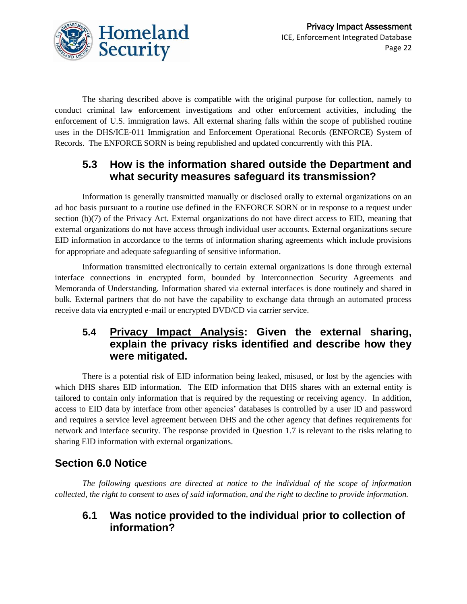

The sharing described above is compatible with the original purpose for collection, namely to conduct criminal law enforcement investigations and other enforcement activities, including the enforcement of U.S. immigration laws. All external sharing falls within the scope of published routine uses in the DHS/ICE-011 Immigration and Enforcement Operational Records (ENFORCE) System of Records. The ENFORCE SORN is being republished and updated concurrently with this PIA.

#### **5.3 How is the information shared outside the Department and what security measures safeguard its transmission?**

Information is generally transmitted manually or disclosed orally to external organizations on an ad hoc basis pursuant to a routine use defined in the ENFORCE SORN or in response to a request under section (b)(7) of the Privacy Act. External organizations do not have direct access to EID, meaning that external organizations do not have access through individual user accounts. External organizations secure EID information in accordance to the terms of information sharing agreements which include provisions for appropriate and adequate safeguarding of sensitive information.

Information transmitted electronically to certain external organizations is done through external interface connections in encrypted form, bounded by Interconnection Security Agreements and Memoranda of Understanding. Information shared via external interfaces is done routinely and shared in bulk. External partners that do not have the capability to exchange data through an automated process receive data via encrypted e-mail or encrypted DVD/CD via carrier service.

#### **5.4 Privacy Impact Analysis: Given the external sharing, explain the privacy risks identified and describe how they were mitigated.**

There is a potential risk of EID information being leaked, misused, or lost by the agencies with which DHS shares EID information. The EID information that DHS shares with an external entity is tailored to contain only information that is required by the requesting or receiving agency. In addition, access to EID data by interface from other agencies' databases is controlled by a user ID and password and requires a service level agreement between DHS and the other agency that defines requirements for network and interface security. The response provided in Question 1.7 is relevant to the risks relating to sharing EID information with external organizations.

# **Section 6.0 Notice**

*The following questions are directed at notice to the individual of the scope of information collected, the right to consent to uses of said information, and the right to decline to provide information.* 

#### **6.1 Was notice provided to the individual prior to collection of information?**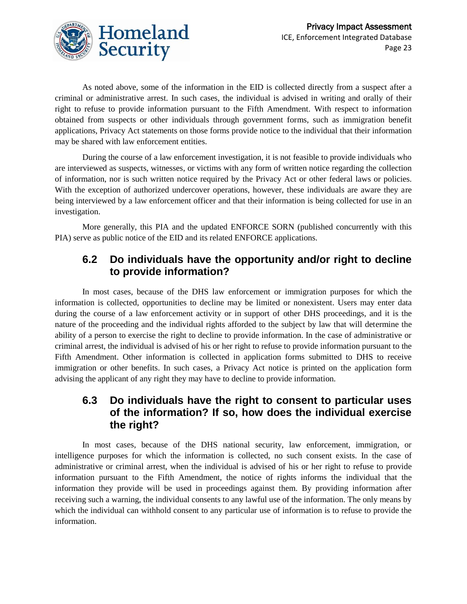

As noted above, some of the information in the EID is collected directly from a suspect after a criminal or administrative arrest. In such cases, the individual is advised in writing and orally of their right to refuse to provide information pursuant to the Fifth Amendment. With respect to information obtained from suspects or other individuals through government forms, such as immigration benefit applications, Privacy Act statements on those forms provide notice to the individual that their information may be shared with law enforcement entities.

During the course of a law enforcement investigation, it is not feasible to provide individuals who are interviewed as suspects, witnesses, or victims with any form of written notice regarding the collection of information, nor is such written notice required by the Privacy Act or other federal laws or policies. With the exception of authorized undercover operations, however, these individuals are aware they are being interviewed by a law enforcement officer and that their information is being collected for use in an investigation.

More generally, this PIA and the updated ENFORCE SORN (published concurrently with this PIA) serve as public notice of the EID and its related ENFORCE applications.

#### **6.2 Do individuals have the opportunity and/or right to decline to provide information?**

In most cases, because of the DHS law enforcement or immigration purposes for which the information is collected, opportunities to decline may be limited or nonexistent. Users may enter data during the course of a law enforcement activity or in support of other DHS proceedings, and it is the nature of the proceeding and the individual rights afforded to the subject by law that will determine the ability of a person to exercise the right to decline to provide information. In the case of administrative or criminal arrest, the individual is advised of his or her right to refuse to provide information pursuant to the Fifth Amendment. Other information is collected in application forms submitted to DHS to receive immigration or other benefits. In such cases, a Privacy Act notice is printed on the application form advising the applicant of any right they may have to decline to provide information.

## **6.3 Do individuals have the right to consent to particular uses of the information? If so, how does the individual exercise the right?**

In most cases, because of the DHS national security, law enforcement, immigration, or intelligence purposes for which the information is collected, no such consent exists. In the case of administrative or criminal arrest, when the individual is advised of his or her right to refuse to provide information pursuant to the Fifth Amendment, the notice of rights informs the individual that the information they provide will be used in proceedings against them. By providing information after receiving such a warning, the individual consents to any lawful use of the information. The only means by which the individual can withhold consent to any particular use of information is to refuse to provide the information.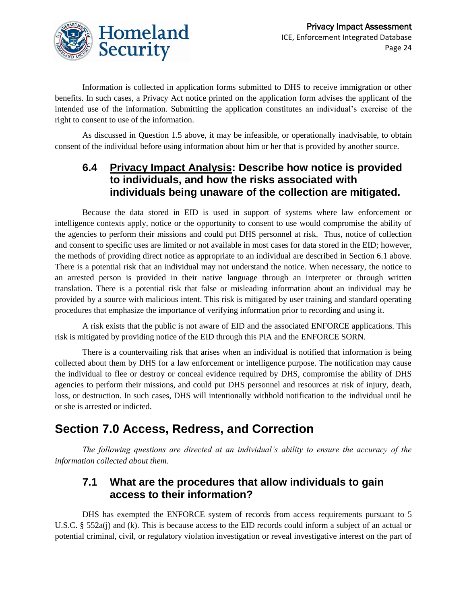

Information is collected in application forms submitted to DHS to receive immigration or other benefits. In such cases, a Privacy Act notice printed on the application form advises the applicant of the intended use of the information. Submitting the application constitutes an individual's exercise of the right to consent to use of the information.

As discussed in Question 1.5 above, it may be infeasible, or operationally inadvisable, to obtain consent of the individual before using information about him or her that is provided by another source.

#### **6.4 Privacy Impact Analysis: Describe how notice is provided to individuals, and how the risks associated with individuals being unaware of the collection are mitigated.**

Because the data stored in EID is used in support of systems where law enforcement or intelligence contexts apply, notice or the opportunity to consent to use would compromise the ability of the agencies to perform their missions and could put DHS personnel at risk. Thus, notice of collection and consent to specific uses are limited or not available in most cases for data stored in the EID; however, the methods of providing direct notice as appropriate to an individual are described in Section 6.1 above. There is a potential risk that an individual may not understand the notice. When necessary, the notice to an arrested person is provided in their native language through an interpreter or through written translation. There is a potential risk that false or misleading information about an individual may be provided by a source with malicious intent. This risk is mitigated by user training and standard operating procedures that emphasize the importance of verifying information prior to recording and using it.

A risk exists that the public is not aware of EID and the associated ENFORCE applications. This risk is mitigated by providing notice of the EID through this PIA and the ENFORCE SORN.

There is a countervailing risk that arises when an individual is notified that information is being collected about them by DHS for a law enforcement or intelligence purpose. The notification may cause the individual to flee or destroy or conceal evidence required by DHS, compromise the ability of DHS agencies to perform their missions, and could put DHS personnel and resources at risk of injury, death, loss, or destruction. In such cases, DHS will intentionally withhold notification to the individual until he or she is arrested or indicted.

# **Section 7.0 Access, Redress, and Correction**

*The following questions are directed at an individual's ability to ensure the accuracy of the information collected about them.*

# **7.1 What are the procedures that allow individuals to gain access to their information?**

DHS has exempted the ENFORCE system of records from access requirements pursuant to 5 U.S.C. § 552a(j) and (k). This is because access to the EID records could inform a subject of an actual or potential criminal, civil, or regulatory violation investigation or reveal investigative interest on the part of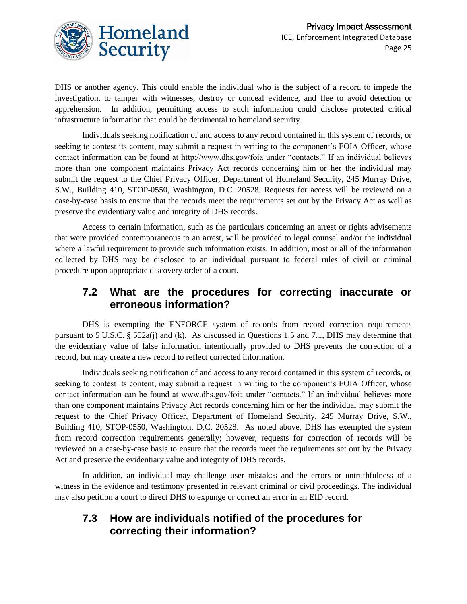

DHS or another agency. This could enable the individual who is the subject of a record to impede the investigation, to tamper with witnesses, destroy or conceal evidence, and flee to avoid detection or apprehension. In addition, permitting access to such information could disclose protected critical infrastructure information that could be detrimental to homeland security.

Individuals seeking notification of and access to any record contained in this system of records, or seeking to contest its content, may submit a request in writing to the component's FOIA Officer, whose contact information can be found at http://www.dhs.gov/foia under "contacts." If an individual believes more than one component maintains Privacy Act records concerning him or her the individual may submit the request to the Chief Privacy Officer, Department of Homeland Security, 245 Murray Drive, S.W., Building 410, STOP-0550, Washington, D.C. 20528. Requests for access will be reviewed on a case-by-case basis to ensure that the records meet the requirements set out by the Privacy Act as well as preserve the evidentiary value and integrity of DHS records.

Access to certain information, such as the particulars concerning an arrest or rights advisements that were provided contemporaneous to an arrest, will be provided to legal counsel and/or the individual where a lawful requirement to provide such information exists. In addition, most or all of the information collected by DHS may be disclosed to an individual pursuant to federal rules of civil or criminal procedure upon appropriate discovery order of a court.

## **7.2 What are the procedures for correcting inaccurate or erroneous information?**

DHS is exempting the ENFORCE system of records from record correction requirements pursuant to 5 U.S.C. § 552a(j) and (k). As discussed in Questions 1.5 and 7.1, DHS may determine that the evidentiary value of false information intentionally provided to DHS prevents the correction of a record, but may create a new record to reflect corrected information.

Individuals seeking notification of and access to any record contained in this system of records, or seeking to contest its content, may submit a request in writing to the component's FOIA Officer, whose contact information can be found at www.dhs.gov/foia under "contacts." If an individual believes more than one component maintains Privacy Act records concerning him or her the individual may submit the request to the Chief Privacy Officer, Department of Homeland Security, 245 Murray Drive, S.W., Building 410, STOP-0550, Washington, D.C. 20528. As noted above, DHS has exempted the system from record correction requirements generally; however, requests for correction of records will be reviewed on a case-by-case basis to ensure that the records meet the requirements set out by the Privacy Act and preserve the evidentiary value and integrity of DHS records.

In addition, an individual may challenge user mistakes and the errors or untruthfulness of a witness in the evidence and testimony presented in relevant criminal or civil proceedings. The individual may also petition a court to direct DHS to expunge or correct an error in an EID record.

#### **7.3 How are individuals notified of the procedures for correcting their information?**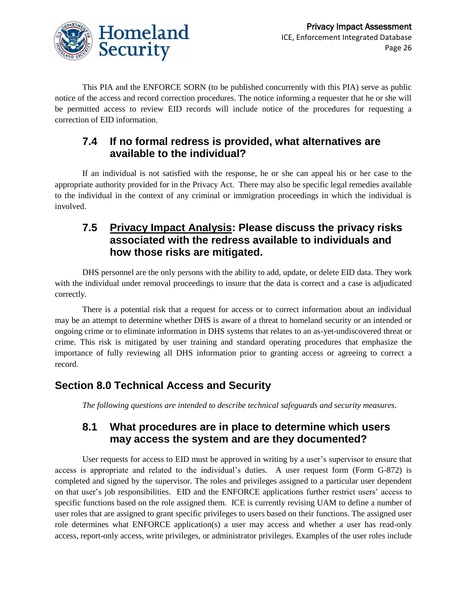

This PIA and the ENFORCE SORN (to be published concurrently with this PIA) serve as public notice of the access and record correction procedures. The notice informing a requester that he or she will be permitted access to review EID records will include notice of the procedures for requesting a correction of EID information.

## **7.4 If no formal redress is provided, what alternatives are available to the individual?**

If an individual is not satisfied with the response, he or she can appeal his or her case to the appropriate authority provided for in the Privacy Act. There may also be specific legal remedies available to the individual in the context of any criminal or immigration proceedings in which the individual is involved.

#### **7.5 Privacy Impact Analysis: Please discuss the privacy risks associated with the redress available to individuals and how those risks are mitigated.**

DHS personnel are the only persons with the ability to add, update, or delete EID data. They work with the individual under removal proceedings to insure that the data is correct and a case is adjudicated correctly.

There is a potential risk that a request for access or to correct information about an individual may be an attempt to determine whether DHS is aware of a threat to homeland security or an intended or ongoing crime or to eliminate information in DHS systems that relates to an as-yet-undiscovered threat or crime. This risk is mitigated by user training and standard operating procedures that emphasize the importance of fully reviewing all DHS information prior to granting access or agreeing to correct a record.

#### **Section 8.0 Technical Access and Security**

*The following questions are intended to describe technical safeguards and security measures.*

#### **8.1 What procedures are in place to determine which users may access the system and are they documented?**

User requests for access to EID must be approved in writing by a user's supervisor to ensure that access is appropriate and related to the individual's duties. A user request form (Form G-872) is completed and signed by the supervisor. The roles and privileges assigned to a particular user dependent on that user's job responsibilities. EID and the ENFORCE applications further restrict users' access to specific functions based on the role assigned them. ICE is currently revising UAM to define a number of user roles that are assigned to grant specific privileges to users based on their functions. The assigned user role determines what ENFORCE application(s) a user may access and whether a user has read-only access, report-only access, write privileges, or administrator privileges. Examples of the user roles include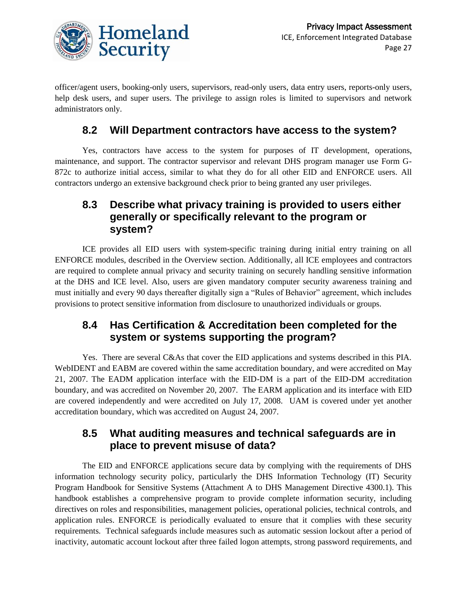

officer/agent users, booking-only users, supervisors, read-only users, data entry users, reports-only users, help desk users, and super users. The privilege to assign roles is limited to supervisors and network administrators only.

#### **8.2 Will Department contractors have access to the system?**

Yes, contractors have access to the system for purposes of IT development, operations, maintenance, and support. The contractor supervisor and relevant DHS program manager use Form G-872c to authorize initial access, similar to what they do for all other EID and ENFORCE users. All contractors undergo an extensive background check prior to being granted any user privileges.

## **8.3 Describe what privacy training is provided to users either generally or specifically relevant to the program or system?**

ICE provides all EID users with system-specific training during initial entry training on all ENFORCE modules, described in the Overview section. Additionally, all ICE employees and contractors are required to complete annual privacy and security training on securely handling sensitive information at the DHS and ICE level. Also, users are given mandatory computer security awareness training and must initially and every 90 days thereafter digitally sign a "Rules of Behavior" agreement, which includes provisions to protect sensitive information from disclosure to unauthorized individuals or groups.

#### **8.4 Has Certification & Accreditation been completed for the system or systems supporting the program?**

Yes. There are several C&As that cover the EID applications and systems described in this PIA. WebIDENT and EABM are covered within the same accreditation boundary, and were accredited on May 21, 2007. The EADM application interface with the EID-DM is a part of the EID-DM accreditation boundary, and was accredited on November 20, 2007. The EARM application and its interface with EID are covered independently and were accredited on July 17, 2008. UAM is covered under yet another accreditation boundary, which was accredited on August 24, 2007.

#### **8.5 What auditing measures and technical safeguards are in place to prevent misuse of data?**

The EID and ENFORCE applications secure data by complying with the requirements of DHS information technology security policy, particularly the DHS Information Technology (IT) Security Program Handbook for Sensitive Systems (Attachment A to DHS Management Directive 4300.1). This handbook establishes a comprehensive program to provide complete information security, including directives on roles and responsibilities, management policies, operational policies, technical controls, and application rules. ENFORCE is periodically evaluated to ensure that it complies with these security requirements. Technical safeguards include measures such as automatic session lockout after a period of inactivity, automatic account lockout after three failed logon attempts, strong password requirements, and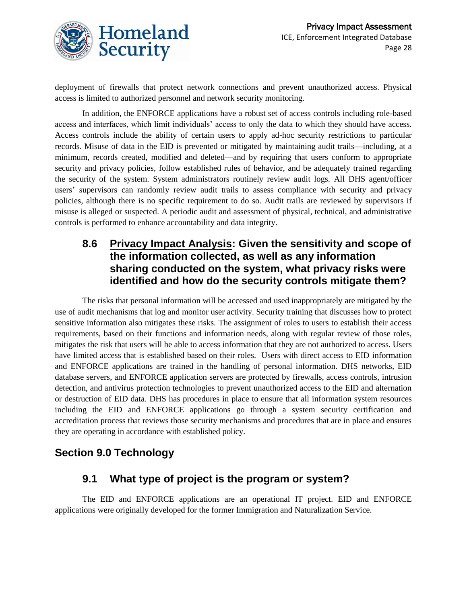

deployment of firewalls that protect network connections and prevent unauthorized access. Physical access is limited to authorized personnel and network security monitoring.

In addition, the ENFORCE applications have a robust set of access controls including role-based access and interfaces, which limit individuals' access to only the data to which they should have access. Access controls include the ability of certain users to apply ad-hoc security restrictions to particular records. Misuse of data in the EID is prevented or mitigated by maintaining audit trails—including, at a minimum, records created, modified and deleted—and by requiring that users conform to appropriate security and privacy policies, follow established rules of behavior, and be adequately trained regarding the security of the system. System administrators routinely review audit logs. All DHS agent/officer users' supervisors can randomly review audit trails to assess compliance with security and privacy policies, although there is no specific requirement to do so. Audit trails are reviewed by supervisors if misuse is alleged or suspected. A periodic audit and assessment of physical, technical, and administrative controls is performed to enhance accountability and data integrity.

#### **8.6 Privacy Impact Analysis: Given the sensitivity and scope of the information collected, as well as any information sharing conducted on the system, what privacy risks were identified and how do the security controls mitigate them?**

The risks that personal information will be accessed and used inappropriately are mitigated by the use of audit mechanisms that log and monitor user activity. Security training that discusses how to protect sensitive information also mitigates these risks. The assignment of roles to users to establish their access requirements, based on their functions and information needs, along with regular review of those roles, mitigates the risk that users will be able to access information that they are not authorized to access. Users have limited access that is established based on their roles. Users with direct access to EID information and ENFORCE applications are trained in the handling of personal information. DHS networks, EID database servers, and ENFORCE application servers are protected by firewalls, access controls, intrusion detection, and antivirus protection technologies to prevent unauthorized access to the EID and alternation or destruction of EID data. DHS has procedures in place to ensure that all information system resources including the EID and ENFORCE applications go through a system security certification and accreditation process that reviews those security mechanisms and procedures that are in place and ensures they are operating in accordance with established policy.

# **Section 9.0 Technology**

#### **9.1 What type of project is the program or system?**

The EID and ENFORCE applications are an operational IT project. EID and ENFORCE applications were originally developed for the former Immigration and Naturalization Service.